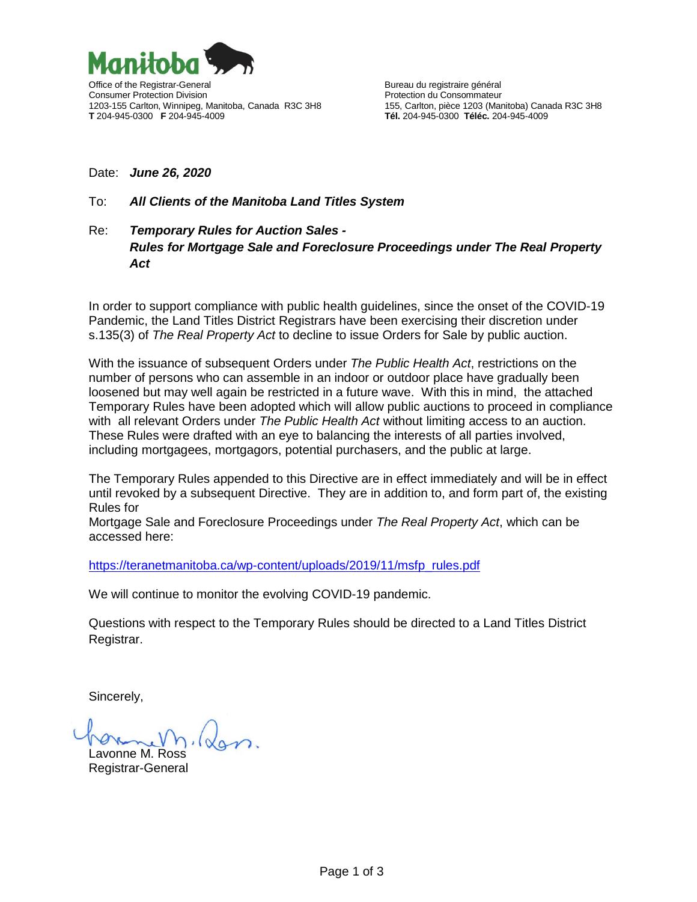

## Date: *June 26, 2020*

## To: *All Clients of the Manitoba Land Titles System*

## Re: *Temporary Rules for Auction Sales - Rules for Mortgage Sale and Foreclosure Proceedings under The Real Property Act*

In order to support compliance with public health guidelines, since the onset of the COVID-19 Pandemic, the Land Titles District Registrars have been exercising their discretion under s.135(3) of *The Real Property Act* to decline to issue Orders for Sale by public auction.

With the issuance of subsequent Orders under *The Public Health Act*, restrictions on the number of persons who can assemble in an indoor or outdoor place have gradually been loosened but may well again be restricted in a future wave. With this in mind, the attached Temporary Rules have been adopted which will allow public auctions to proceed in compliance with all relevant Orders under *The Public Health Act* without limiting access to an auction. These Rules were drafted with an eye to balancing the interests of all parties involved, including mortgagees, mortgagors, potential purchasers, and the public at large.

The Temporary Rules appended to this Directive are in effect immediately and will be in effect until revoked by a subsequent Directive. They are in addition to, and form part of, the existing Rules for

Mortgage Sale and Foreclosure Proceedings under *The Real Property Act*, which can be accessed here:

[https://teranetmanitoba.ca/wp-content/uploads/2019/11/msfp\\_rules.pdf](https://teranetmanitoba.ca/wp-content/uploads/2019/11/msfp_rules.pdf)

We will continue to monitor the evolving COVID-19 pandemic.

Questions with respect to the Temporary Rules should be directed to a Land Titles District Registrar.

Sincerely,

Lavonne M. Ross Registrar-General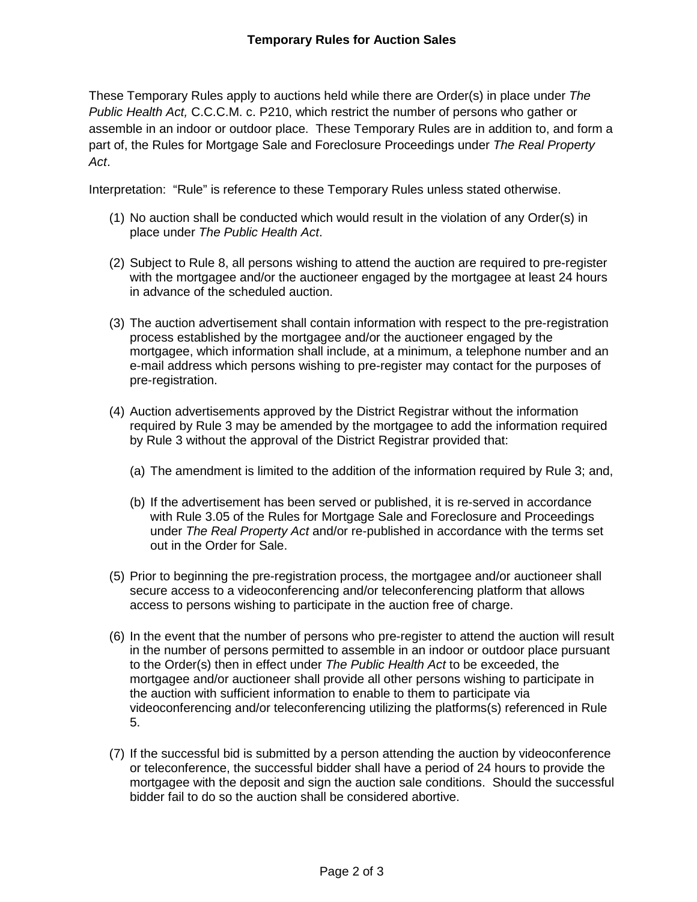These Temporary Rules apply to auctions held while there are Order(s) in place under *The Public Health Act,* C.C.C.M. c. P210, which restrict the number of persons who gather or assemble in an indoor or outdoor place. These Temporary Rules are in addition to, and form a part of, the Rules for Mortgage Sale and Foreclosure Proceedings under *The Real Property Act*.

Interpretation: "Rule" is reference to these Temporary Rules unless stated otherwise.

- (1) No auction shall be conducted which would result in the violation of any Order(s) in place under *The Public Health Act*.
- (2) Subject to Rule 8, all persons wishing to attend the auction are required to pre-register with the mortgagee and/or the auctioneer engaged by the mortgagee at least 24 hours in advance of the scheduled auction.
- (3) The auction advertisement shall contain information with respect to the pre-registration process established by the mortgagee and/or the auctioneer engaged by the mortgagee, which information shall include, at a minimum, a telephone number and an e-mail address which persons wishing to pre-register may contact for the purposes of pre-registration.
- (4) Auction advertisements approved by the District Registrar without the information required by Rule 3 may be amended by the mortgagee to add the information required by Rule 3 without the approval of the District Registrar provided that:
	- (a) The amendment is limited to the addition of the information required by Rule 3; and,
	- (b) If the advertisement has been served or published, it is re-served in accordance with Rule 3.05 of the Rules for Mortgage Sale and Foreclosure and Proceedings under *The Real Property Act* and/or re-published in accordance with the terms set out in the Order for Sale.
- (5) Prior to beginning the pre-registration process, the mortgagee and/or auctioneer shall secure access to a videoconferencing and/or teleconferencing platform that allows access to persons wishing to participate in the auction free of charge.
- (6) In the event that the number of persons who pre-register to attend the auction will result in the number of persons permitted to assemble in an indoor or outdoor place pursuant to the Order(s) then in effect under *The Public Health Act* to be exceeded, the mortgagee and/or auctioneer shall provide all other persons wishing to participate in the auction with sufficient information to enable to them to participate via videoconferencing and/or teleconferencing utilizing the platforms(s) referenced in Rule 5.
- (7) If the successful bid is submitted by a person attending the auction by videoconference or teleconference, the successful bidder shall have a period of 24 hours to provide the mortgagee with the deposit and sign the auction sale conditions. Should the successful bidder fail to do so the auction shall be considered abortive.